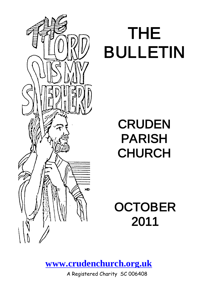

# THE BULLETIN

# **CRUDEN** PARISH **CHURCH**

**OCTOBER** 2011

**[www.crudenchurch.org.uk](http://www.crudenchurch.org.uk/)**

A Registered Charity SC 006408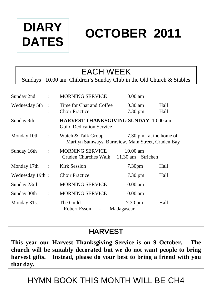

# **OCTOBER 2011**

### EACH WEEK

Sundays 10.00 am Children's Sunday Club in the Old Church & Stables

| Sunday 2nd       | $\ddot{\cdot}$       | <b>MORNING SERVICE</b>                                                         | $10.00 \text{ am}$              |                        |
|------------------|----------------------|--------------------------------------------------------------------------------|---------------------------------|------------------------|
| Wednesday 5th    | $\cdot$ :            | Time for Chat and Coffee<br><b>Choir Practice</b>                              | $10.30$ am<br>7.30 pm           | Hall<br>Hall           |
| Sunday 9th       | $\ddot{\cdot}$       | <b>HARVEST THANKSGIVING SUNDAY 10.00 am</b><br><b>Guild Dedication Service</b> |                                 |                        |
| Monday 10th      | $\mathbb{C}$         | Watch & Talk Group<br>Marilyn Samways, Burnview, Main Street, Cruden Bay       |                                 | 7.30 pm at the home of |
| Sunday 16th      | $\ddot{\cdot}$       | MORNING SERVICE<br>Cruden Churches Walk 11.30 am Strichen                      | $10.00 \text{ am}$              |                        |
| Monday 17th:     |                      | Kirk Session                                                                   | 7.30 <sub>pm</sub>              | Hall                   |
| Wednesday 19th : |                      | <b>Choir Practice</b>                                                          | $7.30 \text{ pm}$               | Hall                   |
| Sunday 23rd      |                      | <b>MORNING SERVICE</b>                                                         | $10.00$ am                      |                        |
| Sunday 30th      | $\ddot{\phantom{a}}$ | <b>MORNING SERVICE</b>                                                         | $10.00$ am                      |                        |
| Monday 31st      | $\ddot{\cdot}$       | The Guild<br>Robert Esson<br>$\overline{\phantom{a}}$                          | $7.30 \text{ pm}$<br>Madagascar | Hall                   |

#### **HARVEST**

**This year our Harvest Thanksgiving Service is on 9 October. The church will be suitably decorated but we do not want people to bring harvest gifts. Instead, please do your best to bring a friend with you that day.**

### HYMN BOOK THIS MONTH WILL BE CH4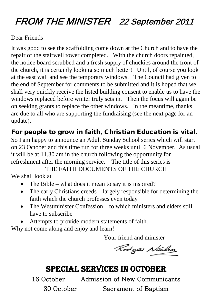### FROM THE MINISTER 22 September 2011

#### Dear Friends

It was good to see the scaffolding come down at the Church and to have the repair of the stairwell tower completed. With the church doors repainted, the notice board scrubbed and a fresh supply of chuckies around the front of the church, it is certainly looking so much better! Until, of course you look at the east wall and see the temporary windows. The Council had given to the end of September for comments to be submitted and it is hoped that we shall very quickly receive the listed building consent to enable us to have the windows replaced before winter truly sets in. Then the focus will again be on seeking grants to replace the other windows. In the meantime, thanks are due to all who are supporting the fundraising (see the next page for an update).

#### For people to grow in faith, Christian Education is vital.

So I am happy to announce an Adult Sunday School series which will start on 23 October and this time run for three weeks until 6 November. As usual it will be at 11.30 am in the church following the opportunity for refreshment after the morning service. The title of this series is

THE FAITH DOCUMENTS OF THE CHURCH

We shall look at

- The Bible what does it mean to say it is inspired?
- The early Christians creeds largely responsible for determining the faith which the church professes even today
- The Westminister Confession to which ministers and elders still have to subscribe
- Attempts to provide modern statements of faith.

Why not come along and enjoy and learn!

Your friend and minister

Rodges Nailso

### SPECIAL SERVICES IN OCTOBER

16 October Admission of New Communicants 30 October Sacrament of Baptism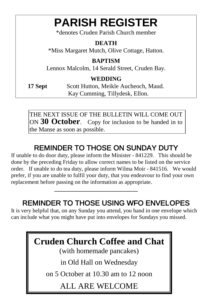## **PARISH REGISTER**

\*denotes Cruden Parish Church member

#### **DEATH**

\*Miss Margaret Mutch, Olive Cottage, Hatton.

#### **BAPTISM**

Lennox Malcolm, 14 Serald Street, Cruden Bay.

#### **WEDDING**

17 Sept Scott Hutton, Meikle Aucheoch, Maud. Kay Cumming, Tillydesk, Ellon.

THE NEXT ISSUE OF THE BULLETIN WILL COME OUT ON **30 October**. Copy for inclusion to be handed in to the Manse as soon as possible.

### REMINDER TO THOSE ON SUNDAY DUTY

If unable to do door duty, please inform the Minister - 841229. This should be done by the preceding Friday to allow correct names to be listed on the service order. If unable to do tea duty, please inform Wilma Moir - 841516. We would prefer, if you are unable to fulfil your duty, that you endeavour to find your own replacement before passing on the information as appropriate.

#### REMINDER TO THOSE USING WFO ENVELOPES

It is very helpful that, on any Sunday you attend, you hand in one envelope which can include what you might have put into envelopes for Sundays you missed.

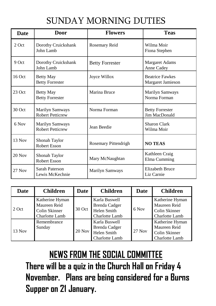### SUNDAY MORNING DUTIES

| <b>Date</b> | Door                                       | <b>Flowers</b>         | <b>Teas</b>                                 |  |
|-------------|--------------------------------------------|------------------------|---------------------------------------------|--|
| 2 Oct       | Dorothy Cruickshank<br>John Lamb           | Rosemary Reid          | Wilma Moir<br>Fiona Stephen                 |  |
| 9 Oct       | Dorothy Cruickshank<br>John Lamb           | <b>Betty Forrester</b> | Margaret Adams<br>Anne Cadey                |  |
| 16 Oct      | <b>Betty May</b><br><b>Betty Forrester</b> | Joyce Willox           | <b>Beatrice Fawkes</b><br>Margaret Jamieson |  |
| 23 Oct      | <b>Betty May</b><br><b>Betty Forrester</b> | Marina Bruce           | Marilyn Samways<br>Norma Forman             |  |
| 30 Oct      | Marilyn Samways<br><b>Robert Petticrew</b> | Norma Forman           | <b>Betty Forrester</b><br>Jim MacDonald     |  |
| 6 Nov       | Marilyn Samways<br><b>Robert Petticrew</b> | Jean Beedie            | Sharon Clark<br>Wilma Moir                  |  |
| $13$ Nov    | Shonah Taylor<br>Robert Esson              | Rosemary Pittendrigh   | <b>NO TEAS</b>                              |  |
| $20$ Nov    | Shonah Taylor<br><b>Robert Esson</b>       | Mary McNaughtan        | Kathleen Craig<br>Elma Cumming              |  |
| $27$ Nov    | Sarah Paterson<br>Lewis McKechnie          | Marilyn Samways        | Elizabeth Bruce<br>Liz Carnie               |  |

| <b>Date</b> | <b>Children</b>                                                    | Date     | <b>Children</b>                                                 | Date     | <b>Children</b>                                                    |
|-------------|--------------------------------------------------------------------|----------|-----------------------------------------------------------------|----------|--------------------------------------------------------------------|
| 2 Oct       | Katherine Hyman<br>Maureen Reid<br>Colin Skinner<br>Charlotte Lamb | 30 Oct   | Karla Buswell<br>Brenda Cadger<br>Helen Smith<br>Charlotte Lamb | 6 Nov    | Katherine Hyman<br>Maureen Reid<br>Colin Skinner<br>Charlotte Lamb |
| $13$ Nov    | Remembrance<br>Sunday                                              | $20$ Nov | Karla Buswell<br>Brenda Cadger<br>Helen Smith<br>Charlotte Lamb | $27$ Nov | Katherine Hyman<br>Maureen Reid<br>Colin Skinner<br>Charlotte Lamb |

**NEWS FROM THE SOCIAL COMMITTEE There will be a quiz in the Church Hall on Friday 4 November. Plans are being considered for a Burns Supper on 21 January.**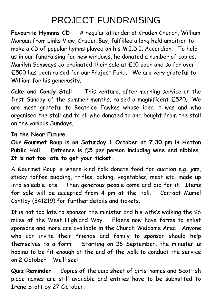### PROJECT FUNDRAISING

**Favourite Hymnns CD** A regular attender at Cruden Church, William Morgan from Links View, Cruden Bay, fulfilled a long held ambition to make a CD of popular hymns played on his M.I.D.I. Accordion. To help us in our fundraising for new windows, he donated a number of copies. Marilyn Samways co-ordinated their sale at £10 each and so far over £500 has been raised for our Project Fund. We are very grateful to William for his generosity.

**Cake and Candy Stall** This venture, after morning service on the first Sunday of the summer months, raised a magnificent £520. We are most grateful to Beatrice Fawkes whose idea it was and who organised the stall and to all who donated to and bought from the stall on the various Sundays.

#### **In the Near Future**

**Our Gourmet Roup is on Saturday 1 October at 7.30 pm in Hatton Public Hall. Entrance is £5 per person including wine and nibbles. It is not too late to get your ticket.**

A Gourmet Roup is where kind folk donate food for auction e.g. jam, sticky toffee pudding, trifles, baking, vegetables, meat etc. made up into saleable lots. Then generous people come and bid for it. Items for sale will be accepted from 4 pm at the Hall. Contact Muriel Cantlay (841219) for further details and tickets.

It is not too late to sponsor the minister and his wife's walking the 96 miles of the West Highland Way. Elders now have forms to enlist sponsors and more are available in the Church Welcome Area Anyone who can invite their friends and family to sponsor should help themselves to a form. Starting on 26 September, the minister is hoping to be fit enough at the end of the walk to conduct the service on 2 October. We'll see!

**Quiz Reminder** Copies of the quiz sheet of girls' names and Scottish place names are still available and entries have to be submitted to Irene Stott by 27 October.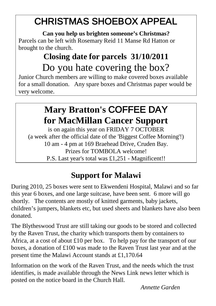### CHRISTMAS SHOEBOX APPEAL

**Can you help us brighten someone's Christmas?** Parcels can be left with Rosemary Reid 11 Manse Rd Hatton or brought to the church.

### **Closing date for parcels 31/10/2011** Do you hate covering the box?

Junior Church members are willing to make covered boxes available for a small donation. Any spare boxes and Christmas paper would be very welcome.

### **Mary Bratton's** COFFEE DAY **for MacMillan Cancer Support**

is on again this year on FRIDAY 7 OCTOBER (a week after the official date of the 'Biggest Coffee Morning'!) 10 am - 4 pm at 169 Braehead Drive, Cruden Bay. Prizes for TOMBOLA welcome! P.S. Last year's total was £1,251 - Magnificent!!

### **Support for Malawi**

During 2010, 25 boxes were sent to Ekwendeni Hospital, Malawi and so far this year 6 boxes, and one large suitcase, have been sent. 6 more will go shortly. The contents are mostly of knitted garments, baby jackets, children's jumpers, blankets etc, but used sheets and blankets have also been donated.

The Blytheswood Trust are still taking our goods to be stored and collected by the Raven Trust, the charity which transports them by containers to Africa, at a cost of about £10 per box. To help pay for the transport of our boxes, a donation of £100 was made to the Raven Trust last year and at the present time the Malawi Account stands at £1,170.64

Information on the work of the Raven Trust, and the needs which the trust identifies, is made available through the News Link news letter which is posted on the notice board in the Church Hall.

*Annette Garden*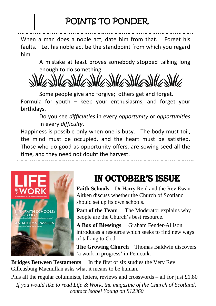### POINTS TO PONDER

When a man does a noble act, date him from that. Forget his faults. Let his noble act be the standpoint from which you regard him

> A mistake at least proves somebody stopped talking long enough to do something.

Some people give and forgive; others get and forget. Formula for youth – keep your enthusiasms, and forget your birthdays.

Do you see *difficulties* in every *opportunity* or *opportunities* in every *difficulty*.

Happiness is possible only when one is busy. The body must toil, the mind must be occupied, and the heart must be satisfied. Those who do good as opportunity offers, are sowing seed all the time, and they need not doubt the harvest.



### IN OCTOBER'S ISSUE

**Faith Schools** Dr Harry Reid and the Rev Ewan Aitken discuss whether the Church of Scotland should set up its own schools.

**Part of the Team** The Moderator explains why people are the Church's best resource.

**A Box of Blessings** Graham Fender-Allison introduces a resource which seeks to find new ways of talking to God.

**The Growing Church** Thomas Baldwin discovers 'a work in progress' in Penicuik.

**Bridges Between Testaments** In the first of six studies the Very Rev Gilleasbuig Macmillan asks what it means to be human.

Plus all the regular columnists, letters, reviews and crosswords – all for just  $\pounds$ 1.80 *If you would like to read Life & Work, the magazine of the Church of Scotland, contact Isobel Young on 812360*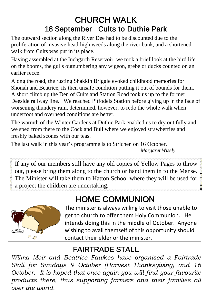### CHURCH WALK 18 September Cults to Duthie Park

The outward section along the River Dee had to be discounted due to the proliferation of invasive head-high weeds along the river bank, and a shortened walk from Cults was put in its place.

Having assembled at the Inchgarth Reservoir, we took a brief look at the bird life on the booms, the gulls outnumbering any wigeon, grebe or ducks counted on an earlier recce.

Along the road, the rusting Shakkin Briggie evoked childhood memories for Shonah and Beatrice, its then unsafe condition putting it out of bounds for them. A short climb up the Den of Cults and Station Road took us up to the former Deeside railway line. We reached Pitfodels Station before giving up in the face of worsening thundery rain, determined, however, to redo the whole walk when underfoot and overhead conditions are better.

The warmth of the Winter Gardens at Duthie Park enabled us to dry out fully and we sped from there to the Cock and Bull where we enjoyed strawberries and freshly baked scones with our teas.

The last walk in this year's programme is to Strichen on 16 October. *Margaret Wisely*

If any of our members still have any old copies of Yellow Pages to throw out, please bring them along to the church or hand them in to the Manse. The Minister will take them to Hatton School where they will be used for  $\frac{3}{2}$ a project the children are undertaking.

### HOME COMMUNION



The minister is always willing to visit those unable to get to church to offer them Holy Communion. He intends doing this in the middle of October. Anyone wishing to avail themself of this opportunity should contact their elder or the minister.

### FAIRTRADE STALL

*Wilma Moir and Beatrice Fawkes have organised a Fairtrade Stall for Sundays 9 October (Harvest Thanksgiving) and 16 October. It is hoped that once again you will find your favourite products there, thus supporting farmers and their families all over the world.*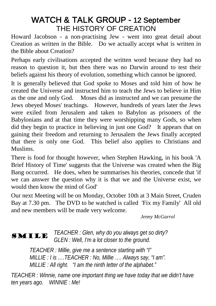# WATCH & TALK GROUP - 12 September<br>THE HISTORY OF CREATION

Howard Jacobson - a non-practising Jew - went into great detail about Creation as written in the Bible. Do we actually accept what is written in the Bible about Creation?

Perhaps early civilisations accepted the written word because they had no reason to question it, but then there was no Darwin around to test their beliefs against his theory of evolution, something which cannot be ignored.

It is generally believed that God spoke to Moses and told him of how he created the Universe and instructed him to teach the Jews to believe in Him as the one and only God. Moses did as instructed and we can presume the Jews obeyed Moses' teachings. However, hundreds of years later the Jews were exiled from Jerusalem and taken to Babylon as prisoners of the Babylonians and at that time they were worshipping many Gods, so when did they begin to practice in believing in just one God? It appears that on gaining their freedom and returning to Jerusalem the Jews finally accepted that there is only one God. This belief also applies to Christians and Muslims.

There is food for thought however, when Stephen Hawking, in his book 'A Brief History of Time' suggests that the Universe was created when the Big Bang occurred. He does, when he summarises his theories, concede that 'if we can answer the question why it is that we and the Universe exist, we would then know the mind of God'

Our next Meeting will be on Monday, October 10th at 3 Main Street, Cruden Bay at 7.30 pm. The DVD to be watched is called 'Fix my Family' All old and new members will be made very welcome.

*Jenny McGarrol*

#### SMILE *TEACHER : Glen, why do you always get so dirty? GLEN : Well, I'm a lot closer to the ground.*

*TEACHER : Millie, give me a sentence starting with "I" MILLIE : I is ….TEACHER : No, Millie …. Always say, "I am". MILLIE : All right. "I am the ninth letter of the alphabet."*

*TEACHER : Winnie, name one important thing we have today that we didn't have ten years ago. WINNIE : Me!*